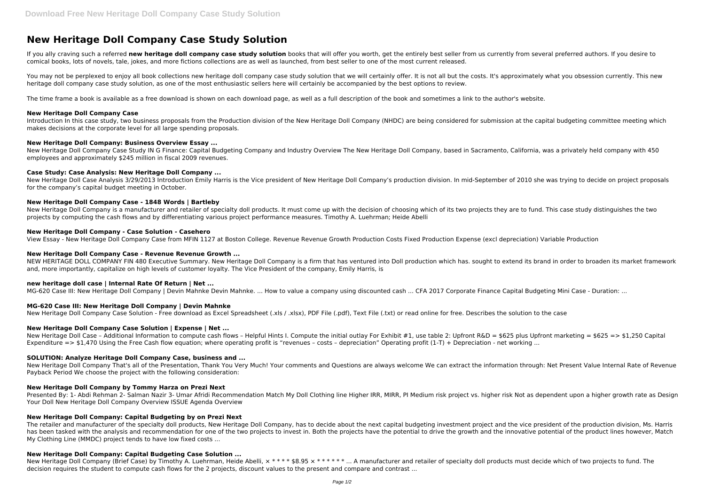# **New Heritage Doll Company Case Study Solution**

If you ally craving such a referred new heritage doll company case study solution books that will offer you worth, get the entirely best seller from us currently from several preferred authors. If you desire to comical books, lots of novels, tale, jokes, and more fictions collections are as well as launched, from best seller to one of the most current released.

You may not be perplexed to enjoy all book collections new heritage doll company case study solution that we will certainly offer. It is not all but the costs. It's approximately what you obsession currently. This new heritage doll company case study solution, as one of the most enthusiastic sellers here will certainly be accompanied by the best options to review.

The time frame a book is available as a free download is shown on each download page, as well as a full description of the book and sometimes a link to the author's website.

New Heritage Doll Case Analysis 3/29/2013 Introduction Emily Harris is the Vice president of New Heritage Doll Company's production division. In mid-September of 2010 she was trying to decide on project proposals for the company's capital budget meeting in October.

## **New Heritage Doll Company Case**

Introduction In this case study, two business proposals from the Production division of the New Heritage Doll Company (NHDC) are being considered for submission at the capital budgeting committee meeting which makes decisions at the corporate level for all large spending proposals.

New Heritage Doll Company is a manufacturer and retailer of specialty doll products. It must come up with the decision of choosing which of its two projects they are to fund. This case study distinguishes the two projects by computing the cash flows and by differentiating various project performance measures. Timothy A. Luehrman; Heide Abelli

## **New Heritage Doll Company: Business Overview Essay ...**

NEW HERITAGE DOLL COMPANY FIN 480 Executive Summary. New Heritage Doll Company is a firm that has ventured into Doll production which has, sought to extend its brand in order to broaden its market framework and, more importantly, capitalize on high levels of customer loyalty. The Vice President of the company, Emily Harris, is

New Heritage Doll Company Case Study IN G Finance: Capital Budgeting Company and Industry Overview The New Heritage Doll Company, based in Sacramento, California, was a privately held company with 450 employees and approximately \$245 million in fiscal 2009 revenues.

# **Case Study: Case Analysis: New Heritage Doll Company ...**

# **New Heritage Doll Company Case - 1848 Words | Bartleby**

New Heritage Doll Company That's all of the Presentation, Thank You Very Much! Your comments and Questions are always welcome We can extract the information through: Net Present Value Internal Rate of Revenue Payback Period We choose the project with the following consideration:

Presented By: 1- Abdi Rehman 2- Salman Nazir 3- Umar Afridi Recommendation Match My Doll Clothing line Higher IRR, MIRR, PI Medium risk project vs. higher risk Not as dependent upon a higher growth rate as Design Your Doll New Heritage Doll Company Overview ISSUE Agenda Overview

## **New Heritage Doll Company - Case Solution - Casehero**

View Essay - New Heritage Doll Company Case from MFIN 1127 at Boston College. Revenue Revenue Growth Production Costs Fixed Production Expense (excl depreciation) Variable Production

## **New Heritage Doll Company Case - Revenue Revenue Growth ...**

New Heritage Doll Company (Brief Case) by Timothy A. Luehrman, Heide Abelli,  $x***$  \$8.95  $x***$  \*\*\*\* ... A manufacturer and retailer of specialty doll products must decide which of two projects to fund. The decision requires the student to compute cash flows for the 2 projects, discount values to the present and compare and contrast ...

# **new heritage doll case | Internal Rate Of Return | Net ...**

MG-620 Case III: New Heritage Doll Company | Devin Mahnke Devin Mahnke. ... How to value a company using discounted cash ... CFA 2017 Corporate Finance Capital Budgeting Mini Case - Duration: ...

## **MG-620 Case III: New Heritage Doll Company | Devin Mahnke**

New Heritage Doll Company Case Solution - Free download as Excel Spreadsheet (.xls / .xlsx), PDF File (.pdf), Text File (.txt) or read online for free. Describes the solution to the case

## **New Heritage Doll Company Case Solution | Expense | Net ...**

New Heritage Doll Case – Additional Information to compute cash flows – Helpful Hints I. Compute the initial outlay For Exhibit #1, use table 2: Upfront R&D = \$625 plus Upfront marketing = \$625 => \$1,250 Capital Expenditure  $\epsilon$  => \$1,470 Using the Free Cash flow equation; where operating profit is "revenues - costs - depreciation" Operating profit (1-T) + Depreciation - net working ...

## **SOLUTION: Analyze Heritage Doll Company Case, business and ...**

## **New Heritage Doll Company by Tommy Harza on Prezi Next**

## **New Heritage Doll Company: Capital Budgeting by on Prezi Next**

The retailer and manufacturer of the specialty doll products, New Heritage Doll Company, has to decide about the next capital budgeting investment project and the vice president of the production division, Ms. Harris has been tasked with the analysis and recommendation for one of the two projects to invest in. Both the projects have the potential to drive the growth and the innovative potential of the product lines however, Match My Clothing Line (MMDC) project tends to have low fixed costs ...

## **New Heritage Doll Company: Capital Budgeting Case Solution ...**